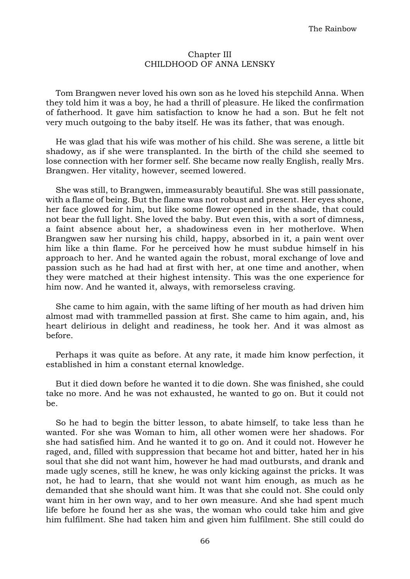## Chapter III CHILDHOOD OF ANNA LENSKY

Tom Brangwen never loved his own son as he loved his stepchild Anna. When they told him it was a boy, he had a thrill of pleasure. He liked the confirmation of fatherhood. It gave him satisfaction to know he had a son. But he felt not very much outgoing to the baby itself. He was its father, that was enough.

He was glad that his wife was mother of his child. She was serene, a little bit shadowy, as if she were transplanted. In the birth of the child she seemed to lose connection with her former self. She became now really English, really Mrs. Brangwen. Her vitality, however, seemed lowered.

She was still, to Brangwen, immeasurably beautiful. She was still passionate, with a flame of being. But the flame was not robust and present. Her eyes shone, her face glowed for him, but like some flower opened in the shade, that could not bear the full light. She loved the baby. But even this, with a sort of dimness, a faint absence about her, a shadowiness even in her motherlove. When Brangwen saw her nursing his child, happy, absorbed in it, a pain went over him like a thin flame. For he perceived how he must subdue himself in his approach to her. And he wanted again the robust, moral exchange of love and passion such as he had had at first with her, at one time and another, when they were matched at their highest intensity. This was the one experience for him now. And he wanted it, always, with remorseless craving.

She came to him again, with the same lifting of her mouth as had driven him almost mad with trammelled passion at first. She came to him again, and, his heart delirious in delight and readiness, he took her. And it was almost as before.

Perhaps it was quite as before. At any rate, it made him know perfection, it established in him a constant eternal knowledge.

But it died down before he wanted it to die down. She was finished, she could take no more. And he was not exhausted, he wanted to go on. But it could not be.

So he had to begin the bitter lesson, to abate himself, to take less than he wanted. For she was Woman to him, all other women were her shadows. For she had satisfied him. And he wanted it to go on. And it could not. However he raged, and, filled with suppression that became hot and bitter, hated her in his soul that she did not want him, however he had mad outbursts, and drank and made ugly scenes, still he knew, he was only kicking against the pricks. It was not, he had to learn, that she would not want him enough, as much as he demanded that she should want him. It was that she could not. She could only want him in her own way, and to her own measure. And she had spent much life before he found her as she was, the woman who could take him and give him fulfilment. She had taken him and given him fulfilment. She still could do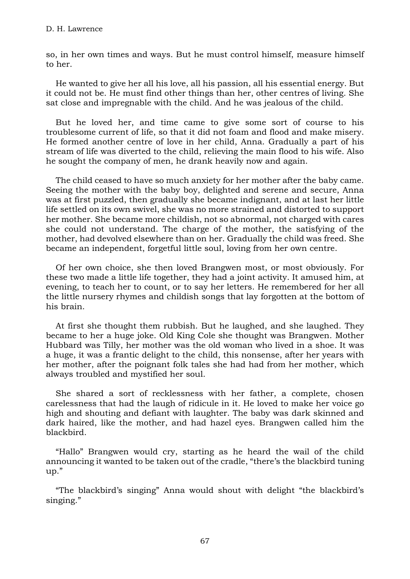so, in her own times and ways. But he must control himself, measure himself to her.

He wanted to give her all his love, all his passion, all his essential energy. But it could not be. He must find other things than her, other centres of living. She sat close and impregnable with the child. And he was jealous of the child.

But he loved her, and time came to give some sort of course to his troublesome current of life, so that it did not foam and flood and make misery. He formed another centre of love in her child, Anna. Gradually a part of his stream of life was diverted to the child, relieving the main flood to his wife. Also he sought the company of men, he drank heavily now and again.

The child ceased to have so much anxiety for her mother after the baby came. Seeing the mother with the baby boy, delighted and serene and secure, Anna was at first puzzled, then gradually she became indignant, and at last her little life settled on its own swivel, she was no more strained and distorted to support her mother. She became more childish, not so abnormal, not charged with cares she could not understand. The charge of the mother, the satisfying of the mother, had devolved elsewhere than on her. Gradually the child was freed. She became an independent, forgetful little soul, loving from her own centre.

Of her own choice, she then loved Brangwen most, or most obviously. For these two made a little life together, they had a joint activity. It amused him, at evening, to teach her to count, or to say her letters. He remembered for her all the little nursery rhymes and childish songs that lay forgotten at the bottom of his brain.

At first she thought them rubbish. But he laughed, and she laughed. They became to her a huge joke. Old King Cole she thought was Brangwen. Mother Hubbard was Tilly, her mother was the old woman who lived in a shoe. It was a huge, it was a frantic delight to the child, this nonsense, after her years with her mother, after the poignant folk tales she had had from her mother, which always troubled and mystified her soul.

She shared a sort of recklessness with her father, a complete, chosen carelessness that had the laugh of ridicule in it. He loved to make her voice go high and shouting and defiant with laughter. The baby was dark skinned and dark haired, like the mother, and had hazel eyes. Brangwen called him the blackbird.

"Hallo" Brangwen would cry, starting as he heard the wail of the child announcing it wanted to be taken out of the cradle, "there's the blackbird tuning up."

"The blackbird's singing" Anna would shout with delight "the blackbird's singing."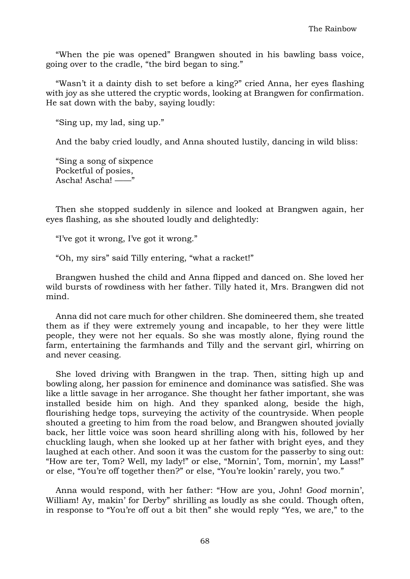"When the pie was opened" Brangwen shouted in his bawling bass voice, going over to the cradle, "the bird began to sing."

"Wasn't it a dainty dish to set before a king?" cried Anna, her eyes flashing with joy as she uttered the cryptic words, looking at Brangwen for confirmation. He sat down with the baby, saying loudly:

"Sing up, my lad, sing up."

And the baby cried loudly, and Anna shouted lustily, dancing in wild bliss:

"Sing a song of sixpence Pocketful of posies, Ascha! Ascha! ——"

Then she stopped suddenly in silence and looked at Brangwen again, her eyes flashing, as she shouted loudly and delightedly:

"I've got it wrong, I've got it wrong."

"Oh, my sirs" said Tilly entering, "what a racket!"

Brangwen hushed the child and Anna flipped and danced on. She loved her wild bursts of rowdiness with her father. Tilly hated it, Mrs. Brangwen did not mind.

Anna did not care much for other children. She domineered them, she treated them as if they were extremely young and incapable, to her they were little people, they were not her equals. So she was mostly alone, flying round the farm, entertaining the farmhands and Tilly and the servant girl, whirring on and never ceasing.

She loved driving with Brangwen in the trap. Then, sitting high up and bowling along, her passion for eminence and dominance was satisfied. She was like a little savage in her arrogance. She thought her father important, she was installed beside him on high. And they spanked along, beside the high, flourishing hedge tops, surveying the activity of the countryside. When people shouted a greeting to him from the road below, and Brangwen shouted jovially back, her little voice was soon heard shrilling along with his, followed by her chuckling laugh, when she looked up at her father with bright eyes, and they laughed at each other. And soon it was the custom for the passerby to sing out: "How are ter, Tom? Well, my lady!" or else, "Mornin', Tom, mornin', my Lass!" or else, "You're off together then?" or else, "You're lookin' rarely, you two."

Anna would respond, with her father: "How are you, John! *Good* mornin', William! Ay, makin' for Derby" shrilling as loudly as she could. Though often, in response to "You're off out a bit then" she would reply "Yes, we are," to the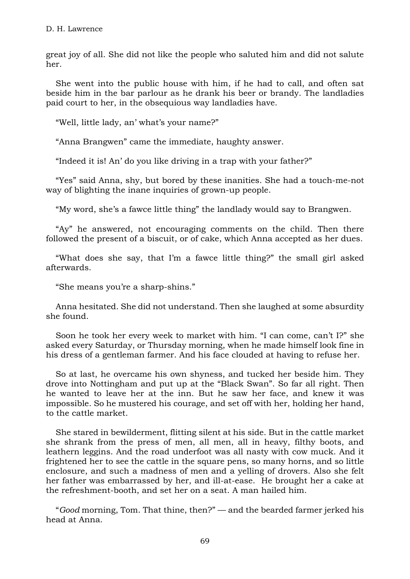great joy of all. She did not like the people who saluted him and did not salute her.

She went into the public house with him, if he had to call, and often sat beside him in the bar parlour as he drank his beer or brandy. The landladies paid court to her, in the obsequious way landladies have.

"Well, little lady, an' what's your name?"

"Anna Brangwen" came the immediate, haughty answer.

"Indeed it is! An' do you like driving in a trap with your father?"

"Yes" said Anna, shy, but bored by these inanities. She had a touch-me-not way of blighting the inane inquiries of grown-up people.

"My word, she's a fawce little thing" the landlady would say to Brangwen.

"Ay" he answered, not encouraging comments on the child. Then there followed the present of a biscuit, or of cake, which Anna accepted as her dues.

"What does she say, that I'm a fawce little thing?" the small girl asked afterwards.

"She means you're a sharp-shins."

Anna hesitated. She did not understand. Then she laughed at some absurdity she found.

Soon he took her every week to market with him. "I can come, can't I?" she asked every Saturday, or Thursday morning, when he made himself look fine in his dress of a gentleman farmer. And his face clouded at having to refuse her.

So at last, he overcame his own shyness, and tucked her beside him. They drove into Nottingham and put up at the "Black Swan". So far all right. Then he wanted to leave her at the inn. But he saw her face, and knew it was impossible. So he mustered his courage, and set off with her, holding her hand, to the cattle market.

She stared in bewilderment, flitting silent at his side. But in the cattle market she shrank from the press of men, all men, all in heavy, filthy boots, and leathern leggins. And the road underfoot was all nasty with cow muck. And it frightened her to see the cattle in the square pens, so many horns, and so little enclosure, and such a madness of men and a yelling of drovers. Also she felt her father was embarrassed by her, and ill-at-ease. He brought her a cake at the refreshment-booth, and set her on a seat. A man hailed him.

"*Good* morning, Tom. That thine, then?" — and the bearded farmer jerked his head at Anna.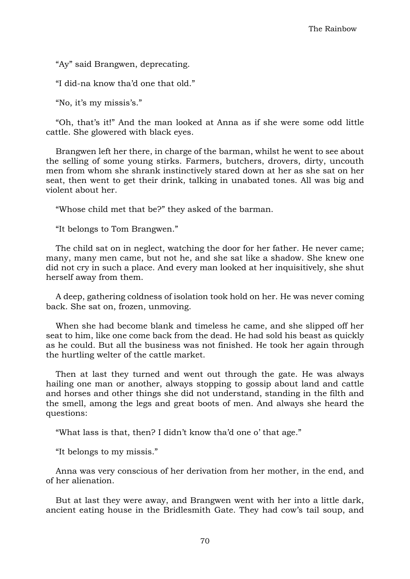"Ay" said Brangwen, deprecating.

"I did-na know tha'd one that old."

"No, it's my missis's."

"Oh, that's it!" And the man looked at Anna as if she were some odd little cattle. She glowered with black eyes.

Brangwen left her there, in charge of the barman, whilst he went to see about the selling of some young stirks. Farmers, butchers, drovers, dirty, uncouth men from whom she shrank instinctively stared down at her as she sat on her seat, then went to get their drink, talking in unabated tones. All was big and violent about her.

"Whose child met that be?" they asked of the barman.

"It belongs to Tom Brangwen."

The child sat on in neglect, watching the door for her father. He never came; many, many men came, but not he, and she sat like a shadow. She knew one did not cry in such a place. And every man looked at her inquisitively, she shut herself away from them.

A deep, gathering coldness of isolation took hold on her. He was never coming back. She sat on, frozen, unmoving.

When she had become blank and timeless he came, and she slipped off her seat to him, like one come back from the dead. He had sold his beast as quickly as he could. But all the business was not finished. He took her again through the hurtling welter of the cattle market.

Then at last they turned and went out through the gate. He was always hailing one man or another, always stopping to gossip about land and cattle and horses and other things she did not understand, standing in the filth and the smell, among the legs and great boots of men. And always she heard the questions:

"What lass is that, then? I didn't know tha'd one o' that age."

"It belongs to my missis."

Anna was very conscious of her derivation from her mother, in the end, and of her alienation.

But at last they were away, and Brangwen went with her into a little dark, ancient eating house in the Bridlesmith Gate. They had cow's tail soup, and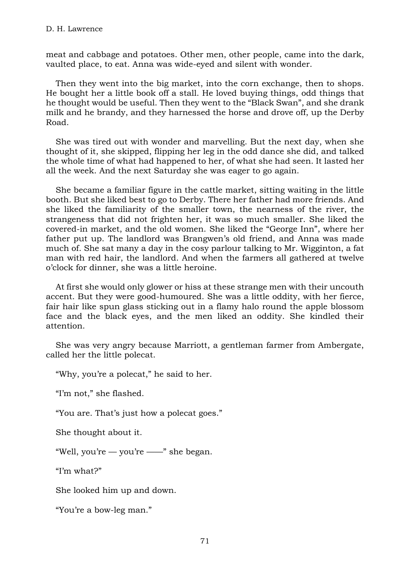meat and cabbage and potatoes. Other men, other people, came into the dark, vaulted place, to eat. Anna was wide-eyed and silent with wonder.

Then they went into the big market, into the corn exchange, then to shops. He bought her a little book off a stall. He loved buying things, odd things that he thought would be useful. Then they went to the "Black Swan", and she drank milk and he brandy, and they harnessed the horse and drove off, up the Derby Road.

She was tired out with wonder and marvelling. But the next day, when she thought of it, she skipped, flipping her leg in the odd dance she did, and talked the whole time of what had happened to her, of what she had seen. It lasted her all the week. And the next Saturday she was eager to go again.

She became a familiar figure in the cattle market, sitting waiting in the little booth. But she liked best to go to Derby. There her father had more friends. And she liked the familiarity of the smaller town, the nearness of the river, the strangeness that did not frighten her, it was so much smaller. She liked the covered-in market, and the old women. She liked the "George Inn", where her father put up. The landlord was Brangwen's old friend, and Anna was made much of. She sat many a day in the cosy parlour talking to Mr. Wigginton, a fat man with red hair, the landlord. And when the farmers all gathered at twelve o'clock for dinner, she was a little heroine.

At first she would only glower or hiss at these strange men with their uncouth accent. But they were good-humoured. She was a little oddity, with her fierce, fair hair like spun glass sticking out in a flamy halo round the apple blossom face and the black eyes, and the men liked an oddity. She kindled their attention.

She was very angry because Marriott, a gentleman farmer from Ambergate, called her the little polecat.

"Why, you're a polecat," he said to her.

"I'm not," she flashed.

"You are. That's just how a polecat goes."

She thought about it.

"Well, you're — you're ——" she began.

"I'm what?"

She looked him up and down.

"You're a bow-leg man."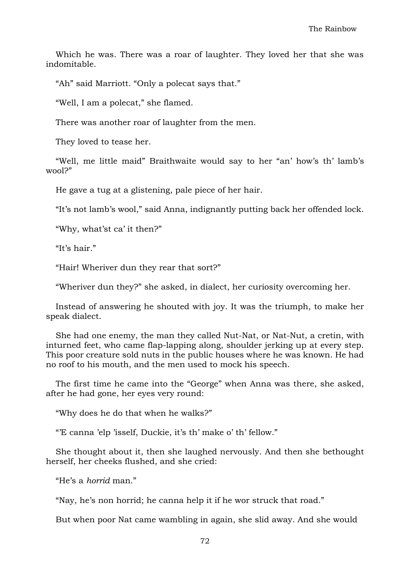Which he was. There was a roar of laughter. They loved her that she was indomitable.

"Ah" said Marriott. "Only a polecat says that."

"Well, I am a polecat," she flamed.

There was another roar of laughter from the men.

They loved to tease her.

"Well, me little maid" Braithwaite would say to her "an' how's th' lamb's wool?"

He gave a tug at a glistening, pale piece of her hair.

"It's not lamb's wool," said Anna, indignantly putting back her offended lock.

"Why, what'st ca' it then?"

"It's hair."

"Hair! Wheriver dun they rear that sort?"

"Wheriver dun they?" she asked, in dialect, her curiosity overcoming her.

Instead of answering he shouted with joy. It was the triumph, to make her speak dialect.

She had one enemy, the man they called Nut-Nat, or Nat-Nut, a cretin, with inturned feet, who came flap-lapping along, shoulder jerking up at every step. This poor creature sold nuts in the public houses where he was known. He had no roof to his mouth, and the men used to mock his speech.

The first time he came into the "George" when Anna was there, she asked, after he had gone, her eyes very round:

"Why does he do that when he walks?"

"'E canna 'elp 'isself, Duckie, it's th' make o' th' fellow."

She thought about it, then she laughed nervously. And then she bethought herself, her cheeks flushed, and she cried:

"He's a *horrid* man."

"Nay, he's non horrid; he canna help it if he wor struck that road."

But when poor Nat came wambling in again, she slid away. And she would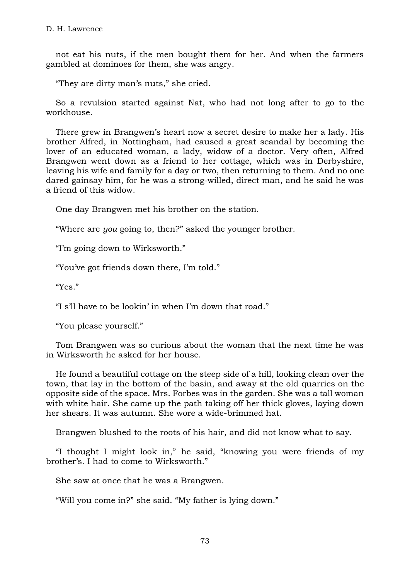not eat his nuts, if the men bought them for her. And when the farmers gambled at dominoes for them, she was angry.

"They are dirty man's nuts," she cried.

So a revulsion started against Nat, who had not long after to go to the workhouse.

There grew in Brangwen's heart now a secret desire to make her a lady. His brother Alfred, in Nottingham, had caused a great scandal by becoming the lover of an educated woman, a lady, widow of a doctor. Very often, Alfred Brangwen went down as a friend to her cottage, which was in Derbyshire, leaving his wife and family for a day or two, then returning to them. And no one dared gainsay him, for he was a strong-willed, direct man, and he said he was a friend of this widow.

One day Brangwen met his brother on the station.

"Where are *you* going to, then?" asked the younger brother.

"I'm going down to Wirksworth."

"You've got friends down there, I'm told."

"Yes."

"I s'll have to be lookin' in when I'm down that road."

"You please yourself."

Tom Brangwen was so curious about the woman that the next time he was in Wirksworth he asked for her house.

He found a beautiful cottage on the steep side of a hill, looking clean over the town, that lay in the bottom of the basin, and away at the old quarries on the opposite side of the space. Mrs. Forbes was in the garden. She was a tall woman with white hair. She came up the path taking off her thick gloves, laying down her shears. It was autumn. She wore a wide-brimmed hat.

Brangwen blushed to the roots of his hair, and did not know what to say.

"I thought I might look in," he said, "knowing you were friends of my brother's. I had to come to Wirksworth."

She saw at once that he was a Brangwen.

"Will you come in?" she said. "My father is lying down."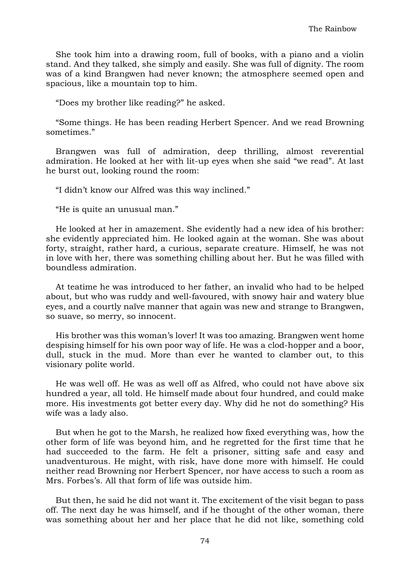She took him into a drawing room, full of books, with a piano and a violin stand. And they talked, she simply and easily. She was full of dignity. The room was of a kind Brangwen had never known; the atmosphere seemed open and spacious, like a mountain top to him.

"Does my brother like reading?" he asked.

"Some things. He has been reading Herbert Spencer. And we read Browning sometimes."

Brangwen was full of admiration, deep thrilling, almost reverential admiration. He looked at her with lit-up eyes when she said "we read". At last he burst out, looking round the room:

"I didn't know our Alfred was this way inclined."

"He is quite an unusual man."

He looked at her in amazement. She evidently had a new idea of his brother: she evidently appreciated him. He looked again at the woman. She was about forty, straight, rather hard, a curious, separate creature. Himself, he was not in love with her, there was something chilling about her. But he was filled with boundless admiration.

At teatime he was introduced to her father, an invalid who had to be helped about, but who was ruddy and well-favoured, with snowy hair and watery blue eyes, and a courtly naïve manner that again was new and strange to Brangwen, so suave, so merry, so innocent.

His brother was this woman's lover! It was too amazing. Brangwen went home despising himself for his own poor way of life. He was a clod-hopper and a boor, dull, stuck in the mud. More than ever he wanted to clamber out, to this visionary polite world.

He was well off. He was as well off as Alfred, who could not have above six hundred a year, all told. He himself made about four hundred, and could make more. His investments got better every day. Why did he not do something? His wife was a lady also.

But when he got to the Marsh, he realized how fixed everything was, how the other form of life was beyond him, and he regretted for the first time that he had succeeded to the farm. He felt a prisoner, sitting safe and easy and unadventurous. He might, with risk, have done more with himself. He could neither read Browning nor Herbert Spencer, nor have access to such a room as Mrs. Forbes's. All that form of life was outside him.

But then, he said he did not want it. The excitement of the visit began to pass off. The next day he was himself, and if he thought of the other woman, there was something about her and her place that he did not like, something cold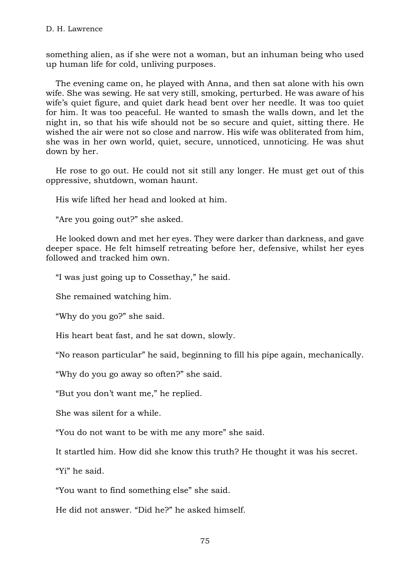something alien, as if she were not a woman, but an inhuman being who used up human life for cold, unliving purposes.

The evening came on, he played with Anna, and then sat alone with his own wife. She was sewing. He sat very still, smoking, perturbed. He was aware of his wife's quiet figure, and quiet dark head bent over her needle. It was too quiet for him. It was too peaceful. He wanted to smash the walls down, and let the night in, so that his wife should not be so secure and quiet, sitting there. He wished the air were not so close and narrow. His wife was obliterated from him, she was in her own world, quiet, secure, unnoticed, unnoticing. He was shut down by her.

He rose to go out. He could not sit still any longer. He must get out of this oppressive, shutdown, woman haunt.

His wife lifted her head and looked at him.

"Are you going out?" she asked.

He looked down and met her eyes. They were darker than darkness, and gave deeper space. He felt himself retreating before her, defensive, whilst her eyes followed and tracked him own.

"I was just going up to Cossethay," he said.

She remained watching him.

"Why do you go?" she said.

His heart beat fast, and he sat down, slowly.

"No reason particular" he said, beginning to fill his pipe again, mechanically.

"Why do you go away so often?" she said.

"But you don't want me," he replied.

She was silent for a while.

"You do not want to be with me any more" she said.

It startled him. How did she know this truth? He thought it was his secret.

"Yi" he said.

"You want to find something else" she said.

He did not answer. "Did he?" he asked himself.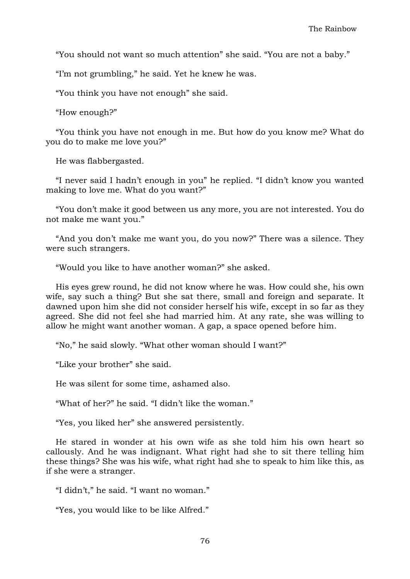"You should not want so much attention" she said. "You are not a baby."

"I'm not grumbling," he said. Yet he knew he was.

"You think you have not enough" she said.

"How enough?"

"You think you have not enough in me. But how do you know me? What do you do to make me love you?"

He was flabbergasted.

"I never said I hadn't enough in you" he replied. "I didn't know you wanted making to love me. What do you want?"

"You don't make it good between us any more, you are not interested. You do not make me want you."

"And you don't make me want you, do you now?" There was a silence. They were such strangers.

"Would you like to have another woman?" she asked.

His eyes grew round, he did not know where he was. How could she, his own wife, say such a thing? But she sat there, small and foreign and separate. It dawned upon him she did not consider herself his wife, except in so far as they agreed. She did not feel she had married him. At any rate, she was willing to allow he might want another woman. A gap, a space opened before him.

"No," he said slowly. "What other woman should I want?"

"Like your brother" she said.

He was silent for some time, ashamed also.

"What of her?" he said. "I didn't like the woman."

"Yes, you liked her" she answered persistently.

He stared in wonder at his own wife as she told him his own heart so callously. And he was indignant. What right had she to sit there telling him these things? She was his wife, what right had she to speak to him like this, as if she were a stranger.

"I didn't," he said. "I want no woman."

"Yes, you would like to be like Alfred."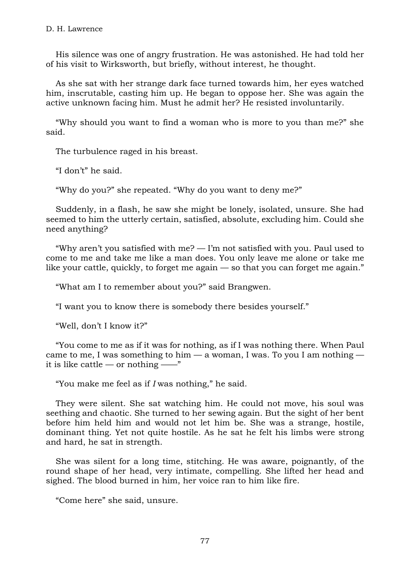His silence was one of angry frustration. He was astonished. He had told her of his visit to Wirksworth, but briefly, without interest, he thought.

As she sat with her strange dark face turned towards him, her eyes watched him, inscrutable, casting him up. He began to oppose her. She was again the active unknown facing him. Must he admit her? He resisted involuntarily.

"Why should you want to find a woman who is more to you than me?" she said.

The turbulence raged in his breast.

"I don't" he said.

"Why do you?" she repeated. "Why do you want to deny me?"

Suddenly, in a flash, he saw she might be lonely, isolated, unsure. She had seemed to him the utterly certain, satisfied, absolute, excluding him. Could she need anything?

"Why aren't you satisfied with  $me$ ?  $-$  I'm not satisfied with you. Paul used to come to me and take me like a man does. You only leave me alone or take me like your cattle, quickly, to forget me again — so that you can forget me again."

"What am I to remember about you?" said Brangwen.

"I want you to know there is somebody there besides yourself."

"Well, don't I know it?"

"You come to me as if it was for nothing, as if I was nothing there. When Paul came to me, I was something to him  $-$  a woman, I was. To you I am nothing  $$ it is like cattle — or nothing —— $"$ 

"You make me feel as if *I* was nothing," he said.

They were silent. She sat watching him. He could not move, his soul was seething and chaotic. She turned to her sewing again. But the sight of her bent before him held him and would not let him be. She was a strange, hostile, dominant thing. Yet not quite hostile. As he sat he felt his limbs were strong and hard, he sat in strength.

She was silent for a long time, stitching. He was aware, poignantly, of the round shape of her head, very intimate, compelling. She lifted her head and sighed. The blood burned in him, her voice ran to him like fire.

"Come here" she said, unsure.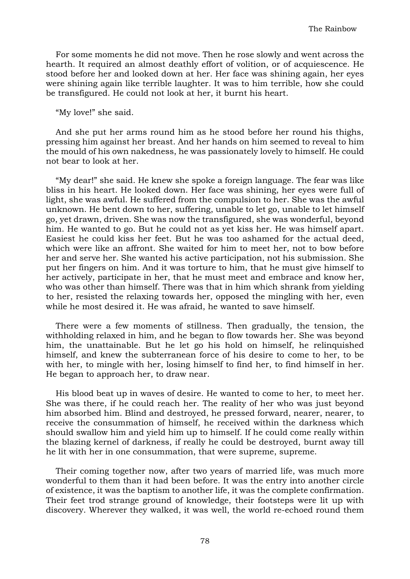For some moments he did not move. Then he rose slowly and went across the hearth. It required an almost deathly effort of volition, or of acquiescence. He stood before her and looked down at her. Her face was shining again, her eyes were shining again like terrible laughter. It was to him terrible, how she could be transfigured. He could not look at her, it burnt his heart.

"My love!" she said.

And she put her arms round him as he stood before her round his thighs, pressing him against her breast. And her hands on him seemed to reveal to him the mould of his own nakedness, he was passionately lovely to himself. He could not bear to look at her.

"My dear!" she said. He knew she spoke a foreign language. The fear was like bliss in his heart. He looked down. Her face was shining, her eyes were full of light, she was awful. He suffered from the compulsion to her. She was the awful unknown. He bent down to her, suffering, unable to let go, unable to let himself go, yet drawn, driven. She was now the transfigured, she was wonderful, beyond him. He wanted to go. But he could not as yet kiss her. He was himself apart. Easiest he could kiss her feet. But he was too ashamed for the actual deed, which were like an affront. She waited for him to meet her, not to bow before her and serve her. She wanted his active participation, not his submission. She put her fingers on him. And it was torture to him, that he must give himself to her actively, participate in her, that he must meet and embrace and know her, who was other than himself. There was that in him which shrank from yielding to her, resisted the relaxing towards her, opposed the mingling with her, even while he most desired it. He was afraid, he wanted to save himself.

There were a few moments of stillness. Then gradually, the tension, the withholding relaxed in him, and he began to flow towards her. She was beyond him, the unattainable. But he let go his hold on himself, he relinquished himself, and knew the subterranean force of his desire to come to her, to be with her, to mingle with her, losing himself to find her, to find himself in her. He began to approach her, to draw near.

His blood beat up in waves of desire. He wanted to come to her, to meet her. She was there, if he could reach her. The reality of her who was just beyond him absorbed him. Blind and destroyed, he pressed forward, nearer, nearer, to receive the consummation of himself, he received within the darkness which should swallow him and yield him up to himself. If he could come really within the blazing kernel of darkness, if really he could be destroyed, burnt away till he lit with her in one consummation, that were supreme, supreme.

Their coming together now, after two years of married life, was much more wonderful to them than it had been before. It was the entry into another circle of existence, it was the baptism to another life, it was the complete confirmation. Their feet trod strange ground of knowledge, their footsteps were lit up with discovery. Wherever they walked, it was well, the world re-echoed round them